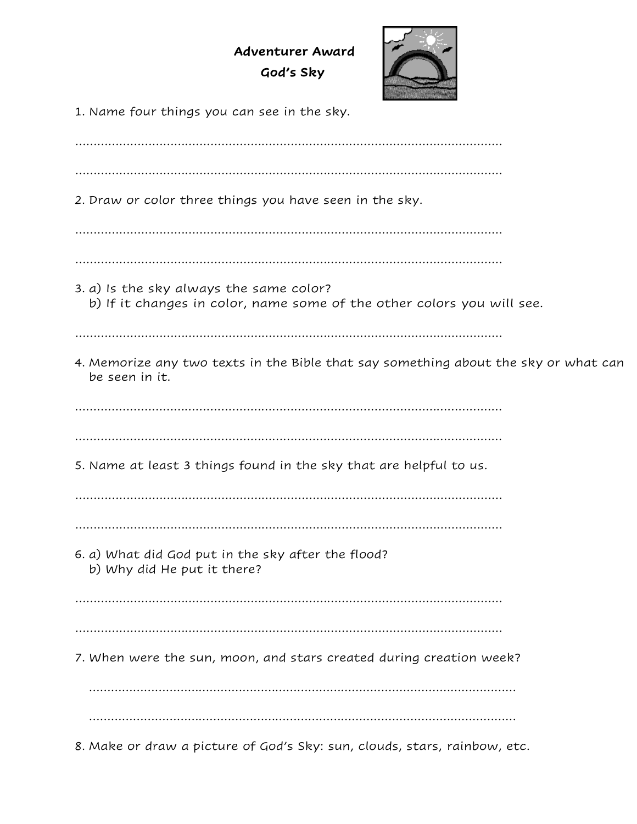**Adventurer Award God's Sky**



1. Name four things you can see in the sky.

……………………………………………………………………………………………………… ……………………………………………………………………………………………………… 2. Draw or color three things you have seen in the sky. ……………………………………………………………………………………………………… ……………………………………………………………………………………………………… 3. a) Is the sky always the same color? b) If it changes in color, name some of the other colors you will see. ……………………………………………………………………………………………………… 4. Memorize any two texts in the Bible that say something about the sky or what can be seen in it. ……………………………………………………………………………………………………… ……………………………………………………………………………………………………… 5. Name at least 3 things found in the sky that are helpful to us. ……………………………………………………………………………………………………… ……………………………………………………………………………………………………… 6. a) What did God put in the sky after the flood? b) Why did He put it there? ……………………………………………………………………………………………………… ……………………………………………………………………………………………………… 7. When were the sun, moon, and stars created during creation week? ……………………………………………………………………………………………………… ……………………………………………………………………………………………………… 8. Make or draw a picture of God's Sky: sun, clouds, stars, rainbow, etc.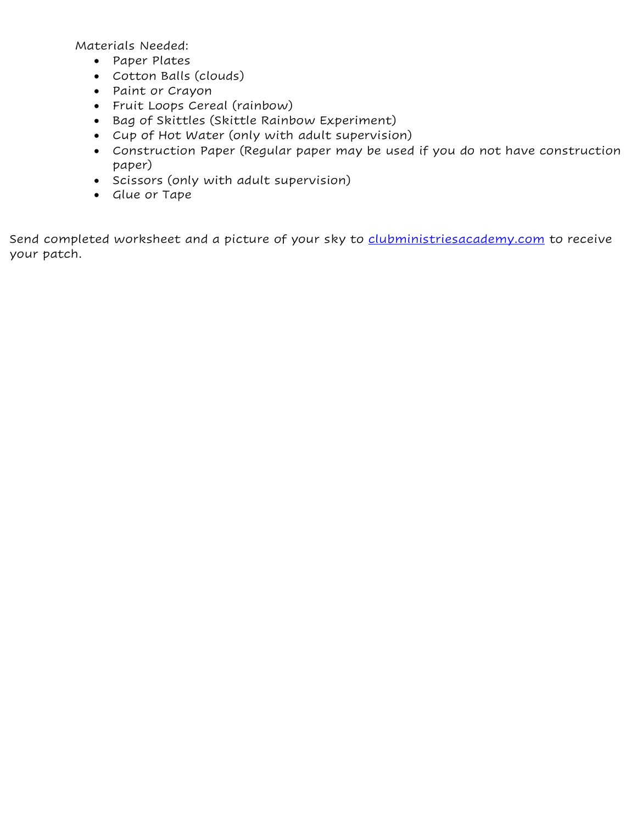Materials Needed:

- Paper Plates
- Cotton Balls (clouds)
- Paint or Crayon
- Fruit Loops Cereal (rainbow)
- Bag of Skittles (Skittle Rainbow Experiment)
- Cup of Hot Water (only with adult supervision)
- Construction Paper (Regular paper may be used if you do not have construction paper)
- Scissors (only with adult supervision)
- Glue or Tape

Send completed worksheet and a picture of your sky to [clubministriesacademy.com](mailto:youth@lrcsda.com) to receive your patch.